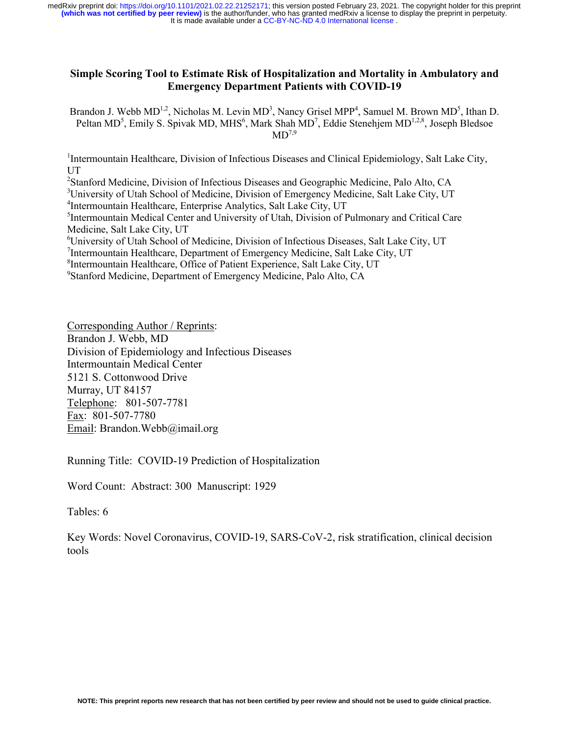It is made available under a [CC-BY-NC-ND 4.0 International license](http://creativecommons.org/licenses/by-nc-nd/4.0/) . **(which was not certified by peer review)** is the author/funder, who has granted medRxiv a license to display the preprint in perpetuity. medRxiv preprint doi: [https://doi.org/10.1101/2021.02.22.21252171;](https://doi.org/10.1101/2021.02.22.21252171) this version posted February 23, 2021. The copyright holder for this preprint

## **Simple Scoring Tool to Estimate Risk of Hospitalization and Mortality in Ambulatory and Emergency Department Patients with COVID-19**

Brandon J. Webb  $MD^{1,2}$ , Nicholas M. Levin  $MD^3$ , Nancy Grisel MPP<sup>4</sup>, Samuel M. Brown MD<sup>5</sup>, Ithan D. Peltan MD<sup>5</sup>, Emily S. Spivak MD, MHS<sup>6</sup>, Mark Shah MD<sup>7</sup>, Eddie Stenehjem MD<sup>1,2,8</sup>, Joseph Bledsoe  $MD^{7,9}$ 

<sup>1</sup>Intermountain Healthcare, Division of Infectious Diseases and Clinical Epidemiology, Salt Lake City, UT

<sup>2</sup>Stanford Medicine, Division of Infectious Diseases and Geographic Medicine, Palo Alto, CA

<sup>3</sup>University of Utah School of Medicine, Division of Emergency Medicine, Salt Lake City, UT

4 Intermountain Healthcare, Enterprise Analytics, Salt Lake City, UT

<sup>5</sup>Intermountain Medical Center and University of Utah, Division of Pulmonary and Critical Care Medicine, Salt Lake City, UT

6 University of Utah School of Medicine, Division of Infectious Diseases, Salt Lake City, UT

<sup>7</sup>Intermountain Healthcare, Department of Emergency Medicine, Salt Lake City, UT

<sup>8</sup>Intermountain Healthcare, Office of Patient Experience, Salt Lake City, UT

9 Stanford Medicine, Department of Emergency Medicine, Palo Alto, CA

Corresponding Author / Reprints: Brandon J. Webb, MD Division of Epidemiology and Infectious Diseases Intermountain Medical Center 5121 S. Cottonwood Drive Murray, UT 84157 Telephone: 801-507-7781 Fax: 801-507-7780 Email: Brandon.Webb@imail.org

Running Title: COVID-19 Prediction of Hospitalization

Word Count: Abstract: 300 Manuscript: 1929

Tables: 6

Key Words: Novel Coronavirus, COVID-19, SARS-CoV-2, risk stratification, clinical decision tools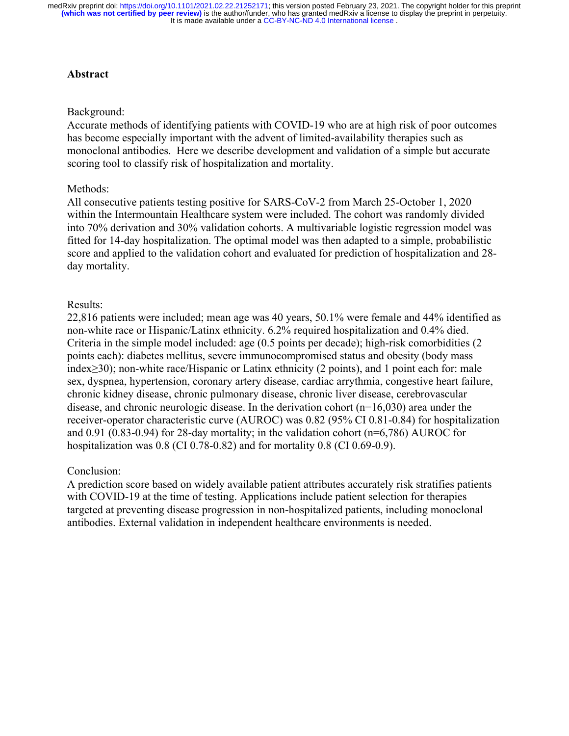It is made available under a [CC-BY-NC-ND 4.0 International license](http://creativecommons.org/licenses/by-nc-nd/4.0/) . **(which was not certified by peer review)** is the author/funder, who has granted medRxiv a license to display the preprint in perpetuity. medRxiv preprint doi: [https://doi.org/10.1101/2021.02.22.21252171;](https://doi.org/10.1101/2021.02.22.21252171) this version posted February 23, 2021. The copyright holder for this preprint

# **Abstract**

### Background:

Accurate methods of identifying patients with COVID-19 who are at high risk of poor outcomes has become especially important with the advent of limited-availability therapies such as monoclonal antibodies. Here we describe development and validation of a simple but accurate scoring tool to classify risk of hospitalization and mortality.

## Methods:

All consecutive patients testing positive for SARS-CoV-2 from March 25-October 1, 2020 within the Intermountain Healthcare system were included. The cohort was randomly divided into 70% derivation and 30% validation cohorts. A multivariable logistic regression model was fitted for 14-day hospitalization. The optimal model was then adapted to a simple, probabilistic score and applied to the validation cohort and evaluated for prediction of hospitalization and 28 day mortality.

# Results:

22,816 patients were included; mean age was 40 years, 50.1% were female and 44% identified as non-white race or Hispanic/Latinx ethnicity. 6.2% required hospitalization and 0.4% died. Criteria in the simple model included: age (0.5 points per decade); high-risk comorbidities (2 points each): diabetes mellitus, severe immunocompromised status and obesity (body mass index≥30); non-white race/Hispanic or Latinx ethnicity (2 points), and 1 point each for: male sex, dyspnea, hypertension, coronary artery disease, cardiac arrythmia, congestive heart failure, chronic kidney disease, chronic pulmonary disease, chronic liver disease, cerebrovascular disease, and chronic neurologic disease. In the derivation cohort (n=16,030) area under the receiver-operator characteristic curve (AUROC) was 0.82 (95% CI 0.81-0.84) for hospitalization and  $0.91$  (0.83-0.94) for 28-day mortality; in the validation cohort ( $n=6,786$ ) AUROC for hospitalization was 0.8 (CI 0.78-0.82) and for mortality 0.8 (CI 0.69-0.9).

# Conclusion:

A prediction score based on widely available patient attributes accurately risk stratifies patients with COVID-19 at the time of testing. Applications include patient selection for therapies targeted at preventing disease progression in non-hospitalized patients, including monoclonal antibodies. External validation in independent healthcare environments is needed.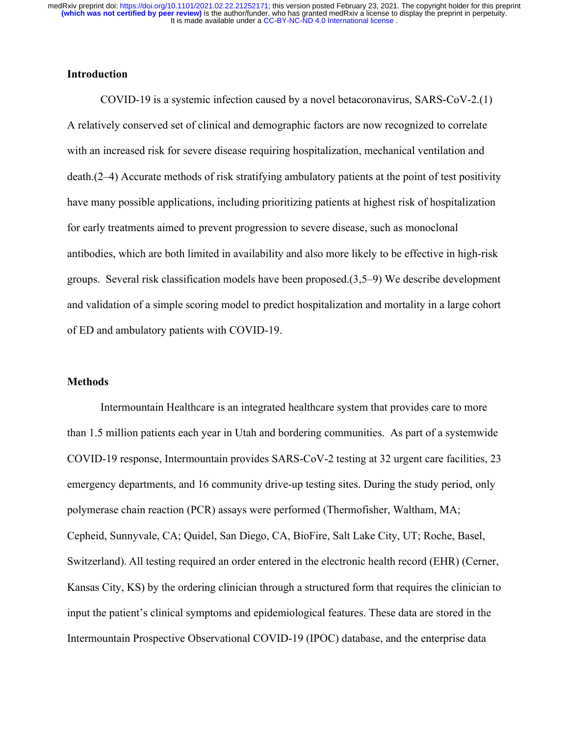# **Introduction**

COVID-19 is a systemic infection caused by a novel betacoronavirus, SARS-CoV-2.(1) A relatively conserved set of clinical and demographic factors are now recognized to correlate with an increased risk for severe disease requiring hospitalization, mechanical ventilation and death.(2–4) Accurate methods of risk stratifying ambulatory patients at the point of test positivity have many possible applications, including prioritizing patients at highest risk of hospitalization for early treatments aimed to prevent progression to severe disease, such as monoclonal antibodies, which are both limited in availability and also more likely to be effective in high-risk groups. Several risk classification models have been proposed.(3,5–9) We describe development and validation of a simple scoring model to predict hospitalization and mortality in a large cohort of ED and ambulatory patients with COVID-19.

### **Methods**

Intermountain Healthcare is an integrated healthcare system that provides care to more than 1.5 million patients each year in Utah and bordering communities. As part of a systemwide COVID-19 response, Intermountain provides SARS-CoV-2 testing at 32 urgent care facilities, 23 emergency departments, and 16 community drive-up testing sites. During the study period, only polymerase chain reaction (PCR) assays were performed (Thermofisher, Waltham, MA; Cepheid, Sunnyvale, CA; Quidel, San Diego, CA, BioFire, Salt Lake City, UT; Roche, Basel, Switzerland). All testing required an order entered in the electronic health record (EHR) (Cerner, Kansas City, KS) by the ordering clinician through a structured form that requires the clinician to input the patient's clinical symptoms and epidemiological features. These data are stored in the Intermountain Prospective Observational COVID-19 (IPOC) database, and the enterprise data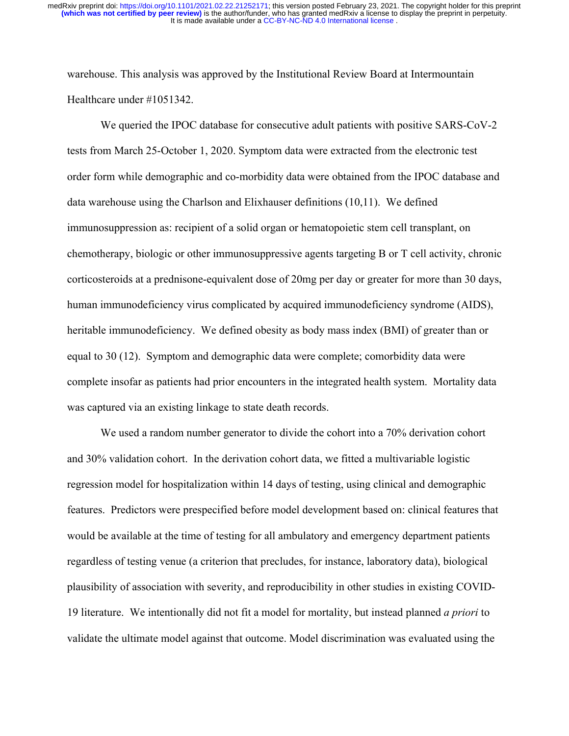warehouse. This analysis was approved by the Institutional Review Board at Intermountain Healthcare under #1051342.

We queried the IPOC database for consecutive adult patients with positive SARS-CoV-2 tests from March 25-October 1, 2020. Symptom data were extracted from the electronic test order form while demographic and co-morbidity data were obtained from the IPOC database and data warehouse using the Charlson and Elixhauser definitions (10,11). We defined immunosuppression as: recipient of a solid organ or hematopoietic stem cell transplant, on chemotherapy, biologic or other immunosuppressive agents targeting B or T cell activity, chronic corticosteroids at a prednisone-equivalent dose of 20mg per day or greater for more than 30 days, human immunodeficiency virus complicated by acquired immunodeficiency syndrome (AIDS), heritable immunodeficiency. We defined obesity as body mass index (BMI) of greater than or equal to 30 (12). Symptom and demographic data were complete; comorbidity data were complete insofar as patients had prior encounters in the integrated health system. Mortality data was captured via an existing linkage to state death records.

We used a random number generator to divide the cohort into a 70% derivation cohort and 30% validation cohort. In the derivation cohort data, we fitted a multivariable logistic regression model for hospitalization within 14 days of testing, using clinical and demographic features. Predictors were prespecified before model development based on: clinical features that would be available at the time of testing for all ambulatory and emergency department patients regardless of testing venue (a criterion that precludes, for instance, laboratory data), biological plausibility of association with severity, and reproducibility in other studies in existing COVID-19 literature. We intentionally did not fit a model for mortality, but instead planned *a priori* to validate the ultimate model against that outcome. Model discrimination was evaluated using the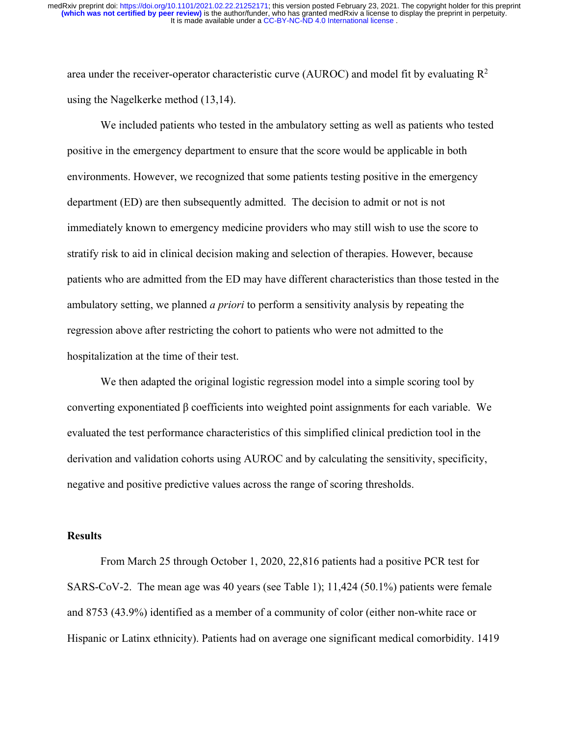area under the receiver-operator characteristic curve (AUROC) and model fit by evaluating  $\mathbb{R}^2$ using the Nagelkerke method (13,14).

We included patients who tested in the ambulatory setting as well as patients who tested positive in the emergency department to ensure that the score would be applicable in both environments. However, we recognized that some patients testing positive in the emergency department (ED) are then subsequently admitted. The decision to admit or not is not immediately known to emergency medicine providers who may still wish to use the score to stratify risk to aid in clinical decision making and selection of therapies. However, because patients who are admitted from the ED may have different characteristics than those tested in the ambulatory setting, we planned *a priori* to perform a sensitivity analysis by repeating the regression above after restricting the cohort to patients who were not admitted to the hospitalization at the time of their test.

We then adapted the original logistic regression model into a simple scoring tool by converting exponentiated β coefficients into weighted point assignments for each variable. We evaluated the test performance characteristics of this simplified clinical prediction tool in the derivation and validation cohorts using AUROC and by calculating the sensitivity, specificity, negative and positive predictive values across the range of scoring thresholds.

### **Results**

From March 25 through October 1, 2020, 22,816 patients had a positive PCR test for SARS-CoV-2. The mean age was 40 years (see Table 1); 11,424 (50.1%) patients were female and 8753 (43.9%) identified as a member of a community of color (either non-white race or Hispanic or Latinx ethnicity). Patients had on average one significant medical comorbidity. 1419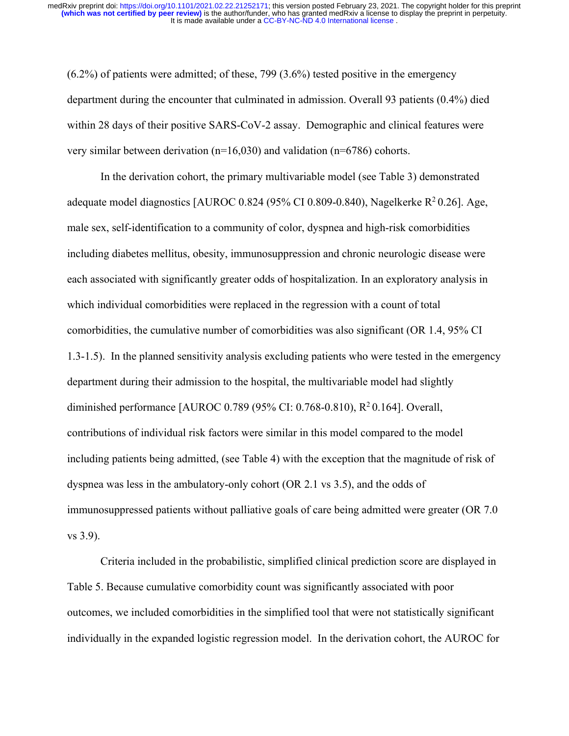(6.2%) of patients were admitted; of these, 799 (3.6%) tested positive in the emergency department during the encounter that culminated in admission. Overall 93 patients (0.4%) died within 28 days of their positive SARS-CoV-2 assay. Demographic and clinical features were very similar between derivation (n=16,030) and validation (n=6786) cohorts.

In the derivation cohort, the primary multivariable model (see Table 3) demonstrated adequate model diagnostics [AUROC 0.824 (95% CI 0.809-0.840), Nagelkerke  $R^2 0.26$ ]. Age, male sex, self-identification to a community of color, dyspnea and high-risk comorbidities including diabetes mellitus, obesity, immunosuppression and chronic neurologic disease were each associated with significantly greater odds of hospitalization. In an exploratory analysis in which individual comorbidities were replaced in the regression with a count of total comorbidities, the cumulative number of comorbidities was also significant (OR 1.4, 95% CI 1.3-1.5). In the planned sensitivity analysis excluding patients who were tested in the emergency department during their admission to the hospital, the multivariable model had slightly diminished performance [AUROC 0.789 (95% CI: 0.768-0.810), R2 0.164]. Overall, contributions of individual risk factors were similar in this model compared to the model including patients being admitted, (see Table 4) with the exception that the magnitude of risk of dyspnea was less in the ambulatory-only cohort (OR 2.1 vs 3.5), and the odds of immunosuppressed patients without palliative goals of care being admitted were greater (OR 7.0 vs 3.9).

Criteria included in the probabilistic, simplified clinical prediction score are displayed in Table 5. Because cumulative comorbidity count was significantly associated with poor outcomes, we included comorbidities in the simplified tool that were not statistically significant individually in the expanded logistic regression model. In the derivation cohort, the AUROC for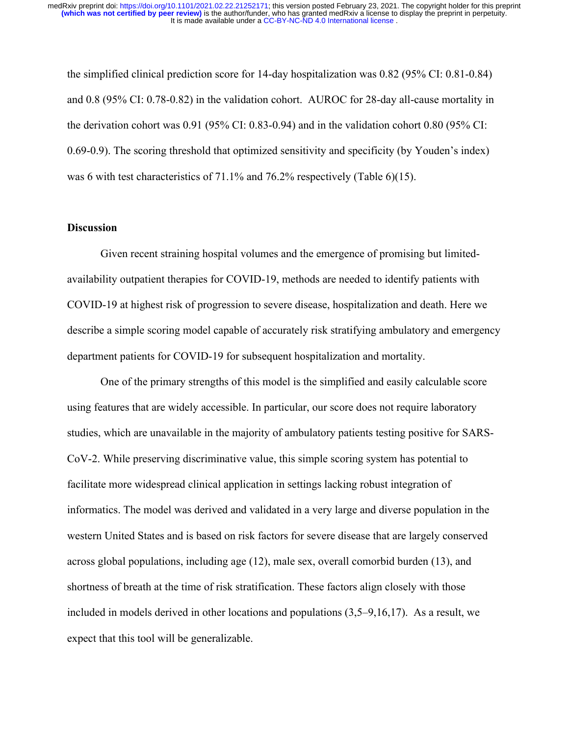the simplified clinical prediction score for 14-day hospitalization was 0.82 (95% CI: 0.81-0.84) and 0.8 (95% CI: 0.78-0.82) in the validation cohort. AUROC for 28-day all-cause mortality in the derivation cohort was 0.91 (95% CI: 0.83-0.94) and in the validation cohort 0.80 (95% CI: 0.69-0.9). The scoring threshold that optimized sensitivity and specificity (by Youden's index) was 6 with test characteristics of 71.1% and 76.2% respectively (Table 6)(15).

### **Discussion**

Given recent straining hospital volumes and the emergence of promising but limitedavailability outpatient therapies for COVID-19, methods are needed to identify patients with COVID-19 at highest risk of progression to severe disease, hospitalization and death. Here we describe a simple scoring model capable of accurately risk stratifying ambulatory and emergency department patients for COVID-19 for subsequent hospitalization and mortality.

One of the primary strengths of this model is the simplified and easily calculable score using features that are widely accessible. In particular, our score does not require laboratory studies, which are unavailable in the majority of ambulatory patients testing positive for SARS-CoV-2. While preserving discriminative value, this simple scoring system has potential to facilitate more widespread clinical application in settings lacking robust integration of informatics. The model was derived and validated in a very large and diverse population in the western United States and is based on risk factors for severe disease that are largely conserved across global populations, including age (12), male sex, overall comorbid burden (13), and shortness of breath at the time of risk stratification. These factors align closely with those included in models derived in other locations and populations (3,5–9,16,17). As a result, we expect that this tool will be generalizable.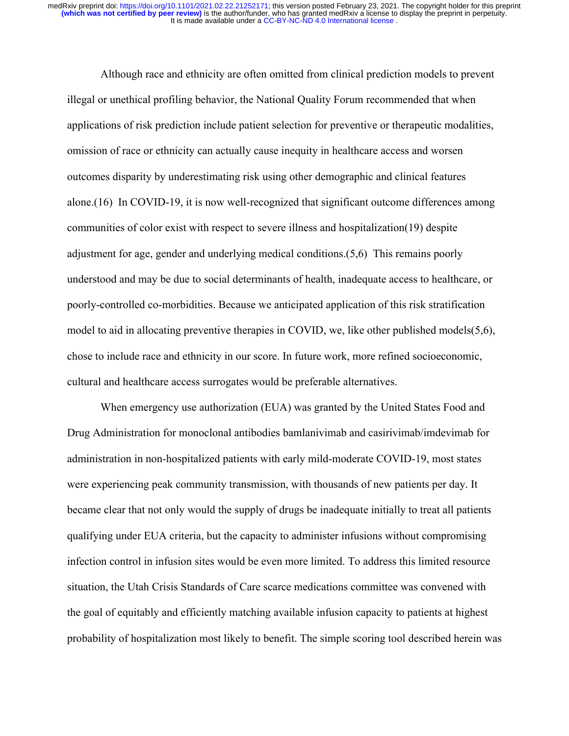Although race and ethnicity are often omitted from clinical prediction models to prevent illegal or unethical profiling behavior, the National Quality Forum recommended that when applications of risk prediction include patient selection for preventive or therapeutic modalities, omission of race or ethnicity can actually cause inequity in healthcare access and worsen outcomes disparity by underestimating risk using other demographic and clinical features alone.(16) In COVID-19, it is now well-recognized that significant outcome differences among communities of color exist with respect to severe illness and hospitalization(19) despite adjustment for age, gender and underlying medical conditions.(5,6) This remains poorly understood and may be due to social determinants of health, inadequate access to healthcare, or poorly-controlled co-morbidities. Because we anticipated application of this risk stratification model to aid in allocating preventive therapies in COVID, we, like other published models(5,6), chose to include race and ethnicity in our score. In future work, more refined socioeconomic, cultural and healthcare access surrogates would be preferable alternatives.

When emergency use authorization (EUA) was granted by the United States Food and Drug Administration for monoclonal antibodies bamlanivimab and casirivimab/imdevimab for administration in non-hospitalized patients with early mild-moderate COVID-19, most states were experiencing peak community transmission, with thousands of new patients per day. It became clear that not only would the supply of drugs be inadequate initially to treat all patients qualifying under EUA criteria, but the capacity to administer infusions without compromising infection control in infusion sites would be even more limited. To address this limited resource situation, the Utah Crisis Standards of Care scarce medications committee was convened with the goal of equitably and efficiently matching available infusion capacity to patients at highest probability of hospitalization most likely to benefit. The simple scoring tool described herein was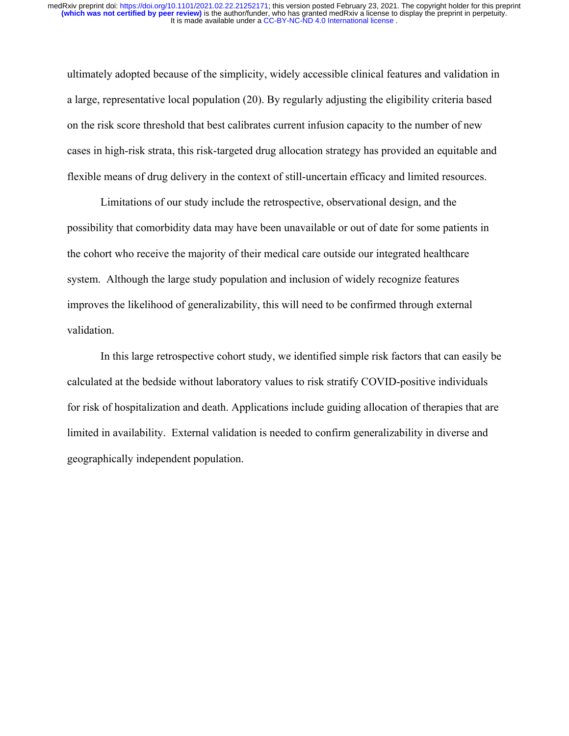ultimately adopted because of the simplicity, widely accessible clinical features and validation in a large, representative local population (20). By regularly adjusting the eligibility criteria based on the risk score threshold that best calibrates current infusion capacity to the number of new cases in high-risk strata, this risk-targeted drug allocation strategy has provided an equitable and flexible means of drug delivery in the context of still-uncertain efficacy and limited resources.

Limitations of our study include the retrospective, observational design, and the possibility that comorbidity data may have been unavailable or out of date for some patients in the cohort who receive the majority of their medical care outside our integrated healthcare system. Although the large study population and inclusion of widely recognize features improves the likelihood of generalizability, this will need to be confirmed through external validation.

In this large retrospective cohort study, we identified simple risk factors that can easily be calculated at the bedside without laboratory values to risk stratify COVID-positive individuals for risk of hospitalization and death. Applications include guiding allocation of therapies that are limited in availability. External validation is needed to confirm generalizability in diverse and geographically independent population.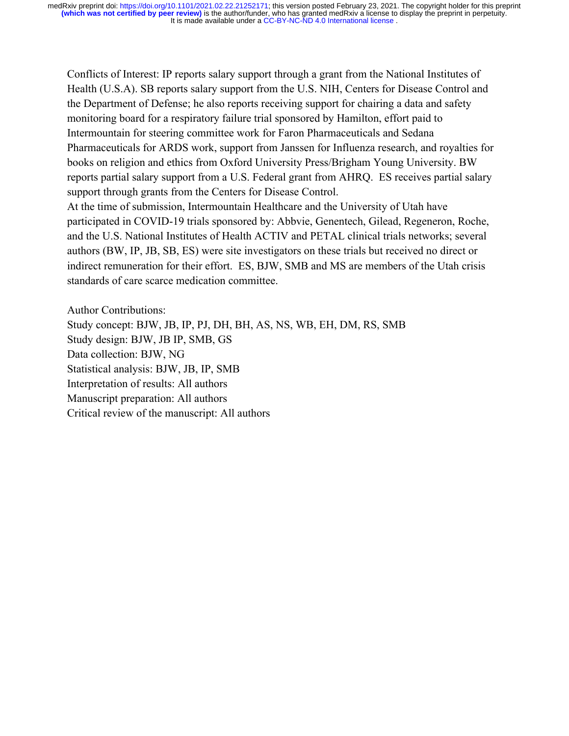Conflicts of Interest: IP reports salary support through a grant from the National Institutes of Health (U.S.A). SB reports salary support from the U.S. NIH, Centers for Disease Control and the Department of Defense; he also reports receiving support for chairing a data and safety monitoring board for a respiratory failure trial sponsored by Hamilton, effort paid to Intermountain for steering committee work for Faron Pharmaceuticals and Sedana Pharmaceuticals for ARDS work, support from Janssen for Influenza research, and royalties for books on religion and ethics from Oxford University Press/Brigham Young University. BW reports partial salary support from a U.S. Federal grant from AHRQ. ES receives partial salary support through grants from the Centers for Disease Control.

At the time of submission, Intermountain Healthcare and the University of Utah have participated in COVID-19 trials sponsored by: Abbvie, Genentech, Gilead, Regeneron, Roche, and the U.S. National Institutes of Health ACTIV and PETAL clinical trials networks; several authors (BW, IP, JB, SB, ES) were site investigators on these trials but received no direct or indirect remuneration for their effort. ES, BJW, SMB and MS are members of the Utah crisis standards of care scarce medication committee.

Author Contributions: Study concept: BJW, JB, IP, PJ, DH, BH, AS, NS, WB, EH, DM, RS, SMB Study design: BJW, JB IP, SMB, GS Data collection: BJW, NG Statistical analysis: BJW, JB, IP, SMB Interpretation of results: All authors Manuscript preparation: All authors Critical review of the manuscript: All authors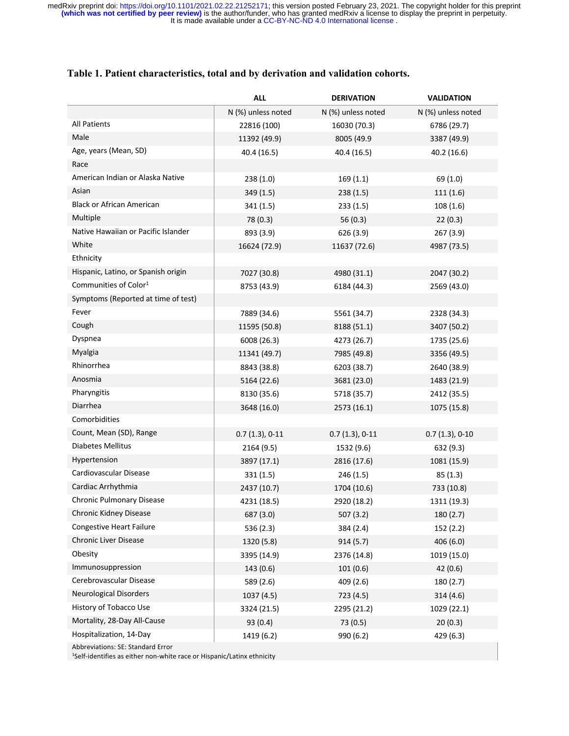|                                     | <b>ALL</b>         | <b>DERIVATION</b>  | <b>VALIDATION</b>  |
|-------------------------------------|--------------------|--------------------|--------------------|
|                                     | N (%) unless noted | N (%) unless noted | N (%) unless noted |
| <b>All Patients</b>                 | 22816 (100)        | 16030 (70.3)       | 6786 (29.7)        |
| Male                                | 11392 (49.9)       | 8005 (49.9         | 3387 (49.9)        |
| Age, years (Mean, SD)               | 40.4 (16.5)        | 40.4 (16.5)        | 40.2 (16.6)        |
| Race                                |                    |                    |                    |
| American Indian or Alaska Native    | 238(1.0)           | 169(1.1)           | 69 (1.0)           |
| Asian                               | 349 (1.5)          | 238(1.5)           | 111(1.6)           |
| <b>Black or African American</b>    | 341(1.5)           | 233(1.5)           | 108(1.6)           |
| Multiple                            | 78 (0.3)           | 56 (0.3)           | 22(0.3)            |
| Native Hawaiian or Pacific Islander | 893 (3.9)          | 626 (3.9)          | 267 (3.9)          |
| White                               | 16624 (72.9)       | 11637 (72.6)       | 4987 (73.5)        |
| Ethnicity                           |                    |                    |                    |
| Hispanic, Latino, or Spanish origin | 7027 (30.8)        | 4980 (31.1)        | 2047 (30.2)        |
| Communities of Color <sup>1</sup>   | 8753 (43.9)        | 6184 (44.3)        | 2569 (43.0)        |
| Symptoms (Reported at time of test) |                    |                    |                    |
| Fever                               | 7889 (34.6)        | 5561 (34.7)        | 2328 (34.3)        |
| Cough                               | 11595 (50.8)       | 8188 (51.1)        | 3407 (50.2)        |
| Dyspnea                             | 6008 (26.3)        | 4273 (26.7)        | 1735 (25.6)        |
| Myalgia                             | 11341 (49.7)       | 7985 (49.8)        | 3356 (49.5)        |
| Rhinorrhea                          | 8843 (38.8)        | 6203 (38.7)        | 2640 (38.9)        |
| Anosmia                             | 5164 (22.6)        | 3681 (23.0)        | 1483 (21.9)        |
| Pharyngitis                         | 8130 (35.6)        | 5718 (35.7)        | 2412 (35.5)        |
| Diarrhea                            | 3648 (16.0)        | 2573 (16.1)        | 1075 (15.8)        |
| Comorbidities                       |                    |                    |                    |
| Count, Mean (SD), Range             | $0.7(1.3), 0-11$   | $0.7(1.3), 0-11$   | $0.7(1.3), 0-10$   |
| Diabetes Mellitus                   | 2164 (9.5)         | 1532 (9.6)         | 632 (9.3)          |
| Hypertension                        | 3897 (17.1)        | 2816 (17.6)        | 1081 (15.9)        |
| Cardiovascular Disease              | 331(1.5)           | 246(1.5)           | 85(1.3)            |
| Cardiac Arrhythmia                  | 2437 (10.7)        | 1704 (10.6)        | 733 (10.8)         |
| Chronic Pulmonary Disease           | 4231 (18.5)        | 2920 (18.2)        | 1311 (19.3)        |
| Chronic Kidney Disease              | 687 (3.0)          | 507 (3.2)          | 180 (2.7)          |
| Congestive Heart Failure            | 536 (2.3)          | 384 (2.4)          | 152 (2.2)          |
| Chronic Liver Disease               | 1320 (5.8)         | 914(5.7)           | 406 (6.0)          |
| Obesity                             | 3395 (14.9)        | 2376 (14.8)        | 1019 (15.0)        |
| Immunosuppression                   | 143 (0.6)          | 101(0.6)           | 42 (0.6)           |
| Cerebrovascular Disease             | 589 (2.6)          | 409 (2.6)          | 180 (2.7)          |
| <b>Neurological Disorders</b>       | 1037 (4.5)         | 723 (4.5)          | 314(4.6)           |
| History of Tobacco Use              | 3324 (21.5)        | 2295 (21.2)        | 1029 (22.1)        |
| Mortality, 28-Day All-Cause         | 93 (0.4)           | 73 (0.5)           | 20(0.3)            |
| Hospitalization, 14-Day             | 1419 (6.2)         | 990 (6.2)          | 429 (6.3)          |
|                                     |                    |                    |                    |

Abbreviations: SE: Standard Error

1Self-identifies as either non-white race or Hispanic/Latinx ethnicity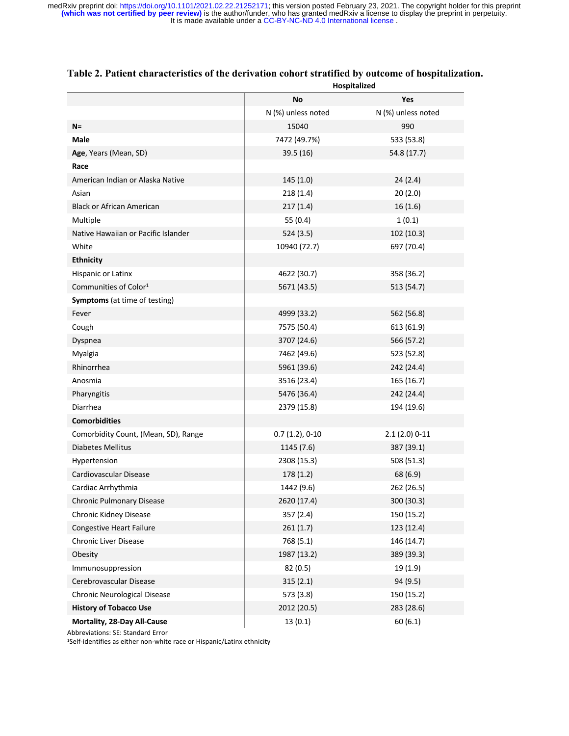|                                      | No                 | Yes                |
|--------------------------------------|--------------------|--------------------|
|                                      | N (%) unless noted | N (%) unless noted |
| $N =$                                | 15040              | 990                |
| Male                                 | 7472 (49.7%)       | 533 (53.8)         |
| Age, Years (Mean, SD)                | 39.5 (16)          | 54.8 (17.7)        |
| Race                                 |                    |                    |
| American Indian or Alaska Native     | 145(1.0)           | 24(2.4)            |
| Asian                                | 218(1.4)           | 20(2.0)            |
| Black or African American            | 217(1.4)           | 16(1.6)            |
| Multiple                             | 55 (0.4)           | 1(0.1)             |
| Native Hawaiian or Pacific Islander  | 524 (3.5)          | 102 (10.3)         |
| White                                | 10940 (72.7)       | 697 (70.4)         |
| <b>Ethnicity</b>                     |                    |                    |
| Hispanic or Latinx                   | 4622 (30.7)        | 358 (36.2)         |
| Communities of Color <sup>1</sup>    | 5671 (43.5)        | 513 (54.7)         |
| <b>Symptoms</b> (at time of testing) |                    |                    |
| Fever                                | 4999 (33.2)        | 562 (56.8)         |
| Cough                                | 7575 (50.4)        | 613 (61.9)         |
| Dyspnea                              | 3707 (24.6)        | 566 (57.2)         |
| Myalgia                              | 7462 (49.6)        | 523 (52.8)         |
| Rhinorrhea                           | 5961 (39.6)        | 242 (24.4)         |
| Anosmia                              | 3516 (23.4)        | 165 (16.7)         |
| Pharyngitis                          | 5476 (36.4)        | 242 (24.4)         |
| Diarrhea                             | 2379 (15.8)        | 194 (19.6)         |
| <b>Comorbidities</b>                 |                    |                    |
| Comorbidity Count, (Mean, SD), Range | $0.7(1.2), 0-10$   | $2.1(2.0)$ 0-11    |
| <b>Diabetes Mellitus</b>             | 1145 (7.6)         | 387 (39.1)         |
| Hypertension                         | 2308 (15.3)        | 508 (51.3)         |
| Cardiovascular Disease               | 178 (1.2)          | 68 (6.9)           |
| Cardiac Arrhythmia                   | 1442 (9.6)         | 262 (26.5)         |
| <b>Chronic Pulmonary Disease</b>     | 2620 (17.4)        | 300 (30.3)         |
| Chronic Kidney Disease               | 357 (2.4)          | 150 (15.2)         |
| <b>Congestive Heart Failure</b>      | 261(1.7)           | 123 (12.4)         |
| Chronic Liver Disease                | 768 (5.1)          | 146 (14.7)         |
| Obesity                              | 1987 (13.2)        | 389 (39.3)         |
| Immunosuppression                    | 82 (0.5)           | 19(1.9)            |
| Cerebrovascular Disease              | 315(2.1)           | 94 (9.5)           |
| Chronic Neurological Disease         | 573 (3.8)          | 150 (15.2)         |
| <b>History of Tobacco Use</b>        | 2012 (20.5)        | 283 (28.6)         |
| Mortality, 28-Day All-Cause          | 13(0.1)            | 60(6.1)            |

#### **Table 2. Patient characteristics of the derivation cohort stratified by outcome of hospitalization. Hospitalized**

Abbreviations: SE: Standard Error

1Self-identifies as either non-white race or Hispanic/Latinx ethnicity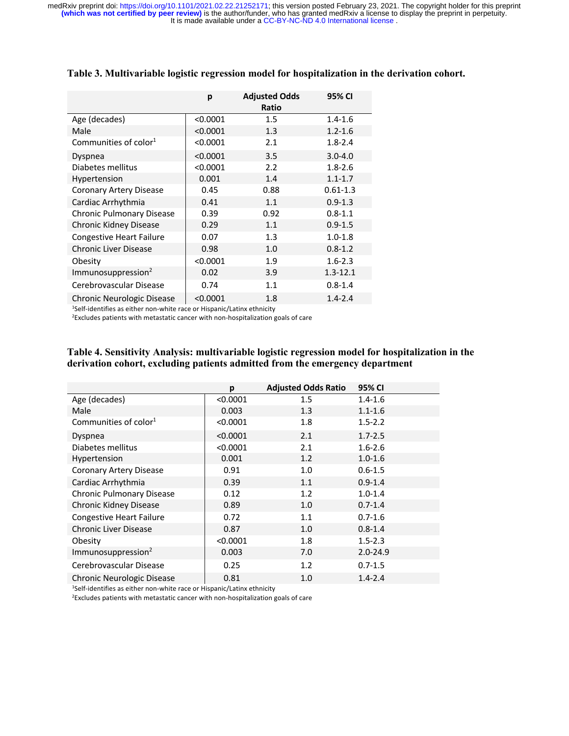|                                   | p        | <b>Adjusted Odds</b><br>Ratio | 95% CI       |
|-----------------------------------|----------|-------------------------------|--------------|
| Age (decades)                     | < 0.0001 | $1.5\,$                       | $1.4 - 1.6$  |
| Male                              | < 0.0001 | 1.3                           | $1.2 - 1.6$  |
| Communities of color <sup>1</sup> | < 0.0001 | 2.1                           | $1.8 - 2.4$  |
| Dyspnea                           | < 0.0001 | 3.5                           | $3.0 - 4.0$  |
| Diabetes mellitus                 | < 0.0001 | 2.2                           | $1.8 - 2.6$  |
| <b>Hypertension</b>               | 0.001    | 1.4                           | $1.1 - 1.7$  |
| Coronary Artery Disease           | 0.45     | 0.88                          | $0.61 - 1.3$ |
| Cardiac Arrhythmia                | 0.41     | 1.1                           | $0.9 - 1.3$  |
| Chronic Pulmonary Disease         | 0.39     | 0.92                          | $0.8 - 1.1$  |
| Chronic Kidney Disease            | 0.29     | 1.1                           | $0.9 - 1.5$  |
| <b>Congestive Heart Failure</b>   | 0.07     | 1.3                           | $1.0 - 1.8$  |
| Chronic Liver Disease             | 0.98     | 1.0                           | $0.8 - 1.2$  |
| Obesity                           | < 0.0001 | 1.9                           | $1.6 - 2.3$  |
| Immunosuppression <sup>2</sup>    | 0.02     | 3.9                           | $1.3 - 12.1$ |
| Cerebrovascular Disease           | 0.74     | 1.1                           | $0.8 - 1.4$  |
| Chronic Neurologic Disease        | < 0.0001 | 1.8                           | $1.4 - 2.4$  |

#### **Table 3. Multivariable logistic regression model for hospitalization in the derivation cohort.**

1Self-identifies as either non-white race or Hispanic/Latinx ethnicity

2Excludes patients with metastatic cancer with non-hospitalization goals of care

#### **Table 4. Sensitivity Analysis: multivariable logistic regression model for hospitalization in the derivation cohort, excluding patients admitted from the emergency department**

|                                   | p        | <b>Adjusted Odds Ratio</b> | 95% CI       |
|-----------------------------------|----------|----------------------------|--------------|
| Age (decades)                     | < 0.0001 | 1.5                        | $1.4 - 1.6$  |
| Male                              | 0.003    | 1.3                        | $1.1 - 1.6$  |
| Communities of color <sup>1</sup> | < 0.0001 | 1.8                        | $1.5 - 2.2$  |
| Dyspnea                           | < 0.0001 | 2.1                        | $1.7 - 2.5$  |
| Diabetes mellitus                 | < 0.0001 | 2.1                        | $1.6 - 2.6$  |
| Hypertension                      | 0.001    | 1.2                        | $1.0 - 1.6$  |
| Coronary Artery Disease           | 0.91     | 1.0                        | $0.6 - 1.5$  |
| Cardiac Arrhythmia                | 0.39     | 1.1                        | $0.9 - 1.4$  |
| Chronic Pulmonary Disease         | 0.12     | 1.2                        | $1.0 - 1.4$  |
| Chronic Kidney Disease            | 0.89     | 1.0                        | $0.7 - 1.4$  |
| <b>Congestive Heart Failure</b>   | 0.72     | 1.1                        | $0.7 - 1.6$  |
| <b>Chronic Liver Disease</b>      | 0.87     | 1.0                        | $0.8 - 1.4$  |
| Obesity                           | < 0.0001 | 1.8                        | $1.5 - 2.3$  |
| Immunosuppression <sup>2</sup>    | 0.003    | 7.0                        | $2.0 - 24.9$ |
| Cerebrovascular Disease           | 0.25     | 1.2                        | $0.7 - 1.5$  |
| Chronic Neurologic Disease        | 0.81     | 1.0                        | $1.4 - 2.4$  |

1Self-identifies as either non-white race or Hispanic/Latinx ethnicity

2Excludes patients with metastatic cancer with non-hospitalization goals of care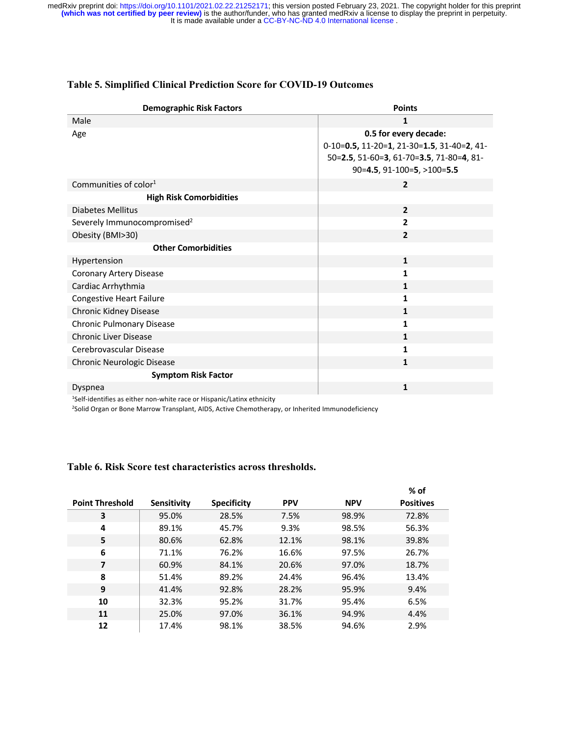| <b>Demographic Risk Factors</b>         | <b>Points</b>                              |
|-----------------------------------------|--------------------------------------------|
| Male                                    | 1                                          |
| Age                                     | 0.5 for every decade:                      |
|                                         | 0-10=0.5, 11-20=1, 21-30=1.5, 31-40=2, 41- |
|                                         | 50=2.5, 51-60=3, 61-70=3.5, 71-80=4, 81-   |
|                                         | 90=4.5, 91-100=5, >100=5.5                 |
| Communities of color <sup>1</sup>       | $\overline{2}$                             |
| <b>High Risk Comorbidities</b>          |                                            |
| <b>Diabetes Mellitus</b>                | $\overline{2}$                             |
| Severely Immunocompromised <sup>2</sup> | $\overline{2}$                             |
| Obesity (BMI>30)                        | $\overline{2}$                             |
| <b>Other Comorbidities</b>              |                                            |
| Hypertension                            | $\mathbf{1}$                               |
| Coronary Artery Disease                 | 1                                          |
| Cardiac Arrhythmia                      | $\mathbf{1}$                               |
| <b>Congestive Heart Failure</b>         | 1                                          |
| Chronic Kidney Disease                  | $\mathbf{1}$                               |
| Chronic Pulmonary Disease               | 1                                          |
| <b>Chronic Liver Disease</b>            | $\mathbf{1}$                               |
| Cerebrovascular Disease                 | 1                                          |
| Chronic Neurologic Disease              | $\mathbf{1}$                               |
| <b>Symptom Risk Factor</b>              |                                            |
| Dyspnea                                 | 1                                          |

### **Table 5. Simplified Clinical Prediction Score for COVID-19 Outcomes**

1Self-identifies as either non-white race or Hispanic/Latinx ethnicity

<sup>2</sup>Solid Organ or Bone Marrow Transplant, AIDS, Active Chemotherapy, or Inherited Immunodeficiency

#### **Table 6. Risk Score test characteristics across thresholds.**

|                          |             |                    |            |            | $%$ of           |
|--------------------------|-------------|--------------------|------------|------------|------------------|
| <b>Point Threshold</b>   | Sensitivity | <b>Specificity</b> | <b>PPV</b> | <b>NPV</b> | <b>Positives</b> |
| 3                        | 95.0%       | 28.5%              | 7.5%       | 98.9%      | 72.8%            |
| 4                        | 89.1%       | 45.7%              | 9.3%       | 98.5%      | 56.3%            |
| 5                        | 80.6%       | 62.8%              | 12.1%      | 98.1%      | 39.8%            |
| 6                        | 71.1%       | 76.2%              | 16.6%      | 97.5%      | 26.7%            |
| $\overline{\phantom{a}}$ | 60.9%       | 84.1%              | 20.6%      | 97.0%      | 18.7%            |
| 8                        | 51.4%       | 89.2%              | 24.4%      | 96.4%      | 13.4%            |
| 9                        | 41.4%       | 92.8%              | 28.2%      | 95.9%      | 9.4%             |
| 10                       | 32.3%       | 95.2%              | 31.7%      | 95.4%      | 6.5%             |
| 11                       | 25.0%       | 97.0%              | 36.1%      | 94.9%      | 4.4%             |
| 12                       | 17.4%       | 98.1%              | 38.5%      | 94.6%      | 2.9%             |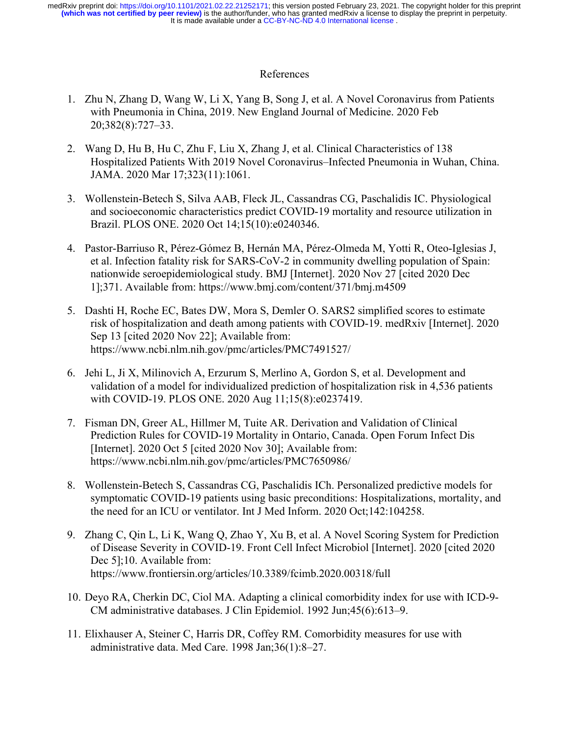### References

- 1. Zhu N, Zhang D, Wang W, Li X, Yang B, Song J, et al. A Novel Coronavirus from Patients with Pneumonia in China, 2019. New England Journal of Medicine. 2020 Feb 20;382(8):727–33.
- 2. Wang D, Hu B, Hu C, Zhu F, Liu X, Zhang J, et al. Clinical Characteristics of 138 Hospitalized Patients With 2019 Novel Coronavirus–Infected Pneumonia in Wuhan, China. JAMA. 2020 Mar 17;323(11):1061.
- 3. Wollenstein-Betech S, Silva AAB, Fleck JL, Cassandras CG, Paschalidis IC. Physiological and socioeconomic characteristics predict COVID-19 mortality and resource utilization in Brazil. PLOS ONE. 2020 Oct 14;15(10):e0240346.
- 4. Pastor-Barriuso R, Pérez-Gómez B, Hernán MA, Pérez-Olmeda M, Yotti R, Oteo-Iglesias J, et al. Infection fatality risk for SARS-CoV-2 in community dwelling population of Spain: nationwide seroepidemiological study. BMJ [Internet]. 2020 Nov 27 [cited 2020 Dec 1];371. Available from: https://www.bmj.com/content/371/bmj.m4509
- 5. Dashti H, Roche EC, Bates DW, Mora S, Demler O. SARS2 simplified scores to estimate risk of hospitalization and death among patients with COVID-19. medRxiv [Internet]. 2020 Sep 13 [cited 2020 Nov 22]; Available from: https://www.ncbi.nlm.nih.gov/pmc/articles/PMC7491527/
- 6. Jehi L, Ji X, Milinovich A, Erzurum S, Merlino A, Gordon S, et al. Development and validation of a model for individualized prediction of hospitalization risk in 4,536 patients with COVID-19. PLOS ONE. 2020 Aug 11;15(8):e0237419.
- 7. Fisman DN, Greer AL, Hillmer M, Tuite AR. Derivation and Validation of Clinical Prediction Rules for COVID-19 Mortality in Ontario, Canada. Open Forum Infect Dis [Internet]. 2020 Oct 5 [cited 2020 Nov 30]; Available from: https://www.ncbi.nlm.nih.gov/pmc/articles/PMC7650986/
- 8. Wollenstein-Betech S, Cassandras CG, Paschalidis ICh. Personalized predictive models for symptomatic COVID-19 patients using basic preconditions: Hospitalizations, mortality, and the need for an ICU or ventilator. Int J Med Inform. 2020 Oct;142:104258.
- 9. Zhang C, Qin L, Li K, Wang Q, Zhao Y, Xu B, et al. A Novel Scoring System for Prediction of Disease Severity in COVID-19. Front Cell Infect Microbiol [Internet]. 2020 [cited 2020 Dec 5];10. Available from: https://www.frontiersin.org/articles/10.3389/fcimb.2020.00318/full
- 10. Deyo RA, Cherkin DC, Ciol MA. Adapting a clinical comorbidity index for use with ICD-9- CM administrative databases. J Clin Epidemiol. 1992 Jun;45(6):613–9.
- 11. Elixhauser A, Steiner C, Harris DR, Coffey RM. Comorbidity measures for use with administrative data. Med Care. 1998 Jan;36(1):8–27.